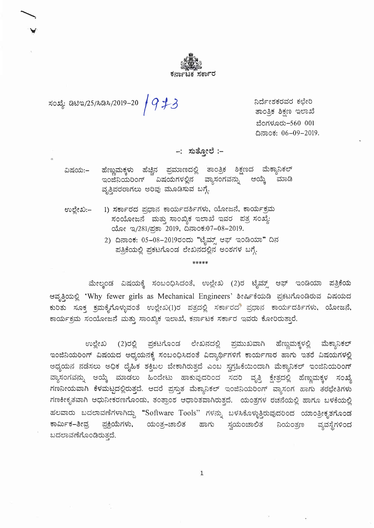

ಸಂಖ್ಯೆ: ಡಿಟಿಇ/25/ಸಿಡಿಸಿ/2019–20  $/$  9  $\not\!\!\!/\,$ 3

ನಿರ್ದೇಶಕರವರ ಕಛೇರಿ ತಾಂತ್ರಿಕ ಶಿಕ್ಷಣ ಇಲಾಖೆ ಬೆಂಗಳೂರು-560 001 ದಿನಾಂಕ: 06-09-2019.

–: ಸುತ್ತೋಲೆ :–

ಹೆಣ್ಣುಮಕ್ಕಳು ಹೆಚ್ಚಿನ ಪ್ರಮಾಣದಲ್ಲಿ ತಾಂತ್ರಿಕ ಶಿಕ್ಷಣದ ಮೆಕ್ಯಾನಿಕಲ್ ವಿಷಯ:– ಇಂಜೆನಿಯರಿಂಗ್ ವಿಷಯಗಳಲ್ಲಿನ ವ್ಯಾಸಂಗವನ್ನು ಆಯ್ಕೆ ಮಾಡಿ ವೃತ್ತಿಪರರಾಗಲು ಅರಿವು ಮೂಡಿಸುವ ಬಗ್ಗೆ.

1) ಸರ್ಕಾರದ ಪ್ರಧಾನ ಕಾರ್ಯದರ್ಶಿಗಳು, ಯೋಜನೆ, ಕಾರ್ಯಕ್ರಮ ಉಲ್ಲೇಖ:– ಸಂಯೋಜನೆ ಮತ್ತು ಸಾಂಖ್ಯಿಕ ಇಲಾಖೆ ಇವರ ಪತ್ರ ಸಂಖ್ಯೆ: ಯೋ ಇ/281/ಪ್ರಕಾ 2019, ದಿನಾಂಕ:07-08-2019.

> 2) ದಿನಾಂಕ: 05-08-2019ರಂದು "ಟೈಮ್ಸ್ ಆಫ್ ಇಂಡಿಯಾ" ದಿನ ಪತ್ರಿಕೆಯಲ್ಲಿ ಪ್ರಕಟಗೊಂಡ ಲೇಖನದಲ್ಲಿನ ಅಂಶಗಳ ಬಗ್ಗೆ.

#### \*\*\*\*\*

ಮೇಲ್ಕಂಡ ವಿಷಯಕ್ಕೆ ಸಂಬಂಧಿಸಿದಂತೆ, ಉಲ್ಲೇಖ (2)ರ ಟೈಮ್ಸ್ ಆಫ್ ಇಂಡಿಯಾ ಪತ್ರಿಕೆಯ ಆವೃತ್ತಿಯಲ್ಲಿ 'Why fewer girls as Mechanical Engineers' ಶೀರ್ಷಿಕೆಯಡಿ ಪ್ರಕಟಗೊಂಡಿರುವ ವಿಷಯದ ಕುರಿತು ಸೂಕ್ತ ಕ್ರಮಕೈಗೊಳ್ಳುವಂತೆ ಉಲ್ಲೇಖ(1)ರ ಪತ್ರದಲ್ಲಿ ಸರ್ಕಾರದ ಪ್ರಧಾನ ಕಾರ್ಯದರ್ಶಿಗಳು, ಯೋಜನೆ, ಕಾರ್ಯಕ್ರಮ ಸಂಯೋಜನೆ ಮತ್ತು ಸಾಂಖ್ಯಿಕ ಇಲಾಖೆ, ಕರ್ನಾಟಕ ಸರ್ಕಾರ ಇವರು ಕೋರಿರುತ್ತಾರೆ.

(2)ರಲ್ಲಿ ಪ್ರಕಟಗೊಂಡ ಲೇಖನದಲ್ಲಿ ಪ್ರಮುಖವಾಗಿ ಹೆಣ್ಣುಮಕ್ಕಳಲ್ಲಿ ಉಲ್ಲೇಖ ಮೆಕ್ಯಾನಿಕಲ್ ಇಂಜಿನಿಯರಿಂಗ್ ವಿಷಯದ ಅಧ್ಯಯನಕ್ಕೆ ಸಂಬಂಧಿಸಿದಂತೆ ವಿದ್ಯಾರ್ಥಿಗಳಿಗೆ ಕಾರ್ಯಗಾರ ಹಾಗು ಇತರೆ ವಿಷಯಗಳಲ್ಲಿ ಅಧ್ಯಯನ ನಡೆಸಲು ಅಧಿಕ ದೈಹಿಕ ಶಕ್ತಿಬಲ ಬೇಕಾಗಿರುತ್ತದೆ ಎಂಬ ಸ್ವಗ್ರಹಿಕೆಯಿಂದಾಗಿ ಮೆಕ್ಯಾನಿಕಲ್ ಇಂಜಿನಿಯರಿಂಗ್ ವ್ಯಾಸಂಗವನ್ನು ಆಯ್ಕೆ ಮಾಡಲು ಹಿಂದೇಟು ಹಾಕುವುದರಿಂದ ಸದರಿ ವೃತ್ತಿ ಕ್ಷೇತ್ರದಲ್ಲಿ ಹೆಣ್ಣುಮಕ್ಕಳ ಸಂಖ್ಯೆ ಗಣನೀಯವಾಗಿ ಕೆಳಮಟ್ಟದಲ್ಲಿರುತ್ತದೆ. ಆದರೆ ಪ್ರಸ್ತುತ ಮೆಕ್ಯಾನಿಕಲ್ ಇಂಜಿನಿಯರಿಂಗ್ ವ್ಯಾಸಂಗ ಹಾಗು ತರಭೇತಿಗಳು ಗಣಕೀಕೃತವಾಗಿ ಆಧುನೀಕರಣಗೊಂಡು, ತಂತ್ರಾಂಶ ಆಧಾರಿತವಾಗಿರುತ್ತದೆ. ಯಂತ್ರಗಳ ರಚನೆಯಲ್ಲಿ ಹಾಗೂ ಬಳಕೆಯಲ್ಲಿ ಹಲವಾರು ಬದಲಾವಣೆಗಳಾಗಿದ್ದು "Software Tools" ಗಳನ್ನು ಬಳಸಿಕೊಳ್ಳುತ್ತಿರುವುದರಿಂದ ಯಾಂತ್ರೀಕೃತಗೊಂಡ ಪ್ರಕ್ರಿಯೆಗಳು, ಯಂತ್ರ–ಚಾಲಿತ ಕಾರ್ಮಿಕ–ತೀವ್ರ ಹಾಗು ಸ್ವಯಂಚಾಲಿತ ನಿಯಂತ್ರಣ ವ್ಯವಸ್ಥೆಗಳಿಂದ ಬದಲಾವಣೆಗೊಂಡಿರುತ್ತದೆ.

 $\mathbf{1}$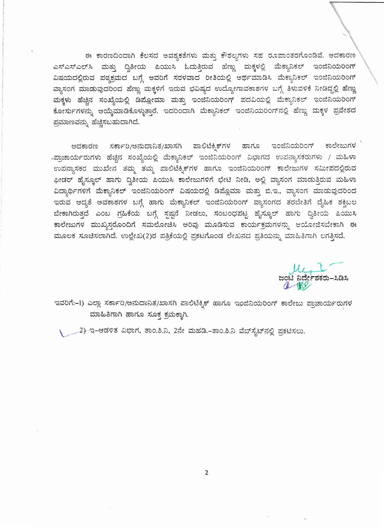ಈ ಕಾರಣದಿಂದಾಗಿ ಕೆಲಸದ ಅವಶ್ಯಕತೆಗಳು ಮತ್ತು ಕೌಶಲ್ಯಗಳು ಸಹ ರೂಪಾಂತರಗೊಂಡಿವೆ. ಆದಕಾರಣ ಎಸ್ಎಸ್ಎಲ್ಸ್ ಮತ್ತು ದ್ವಿತೀಯ ಪಿಯುಸಿ ಓದುತ್ತಿರುವ ಹೆಣ್ಣು ಮಕ್ಕಳಲ್ಲಿ ಮೆಕ್ಯಾನಿಕಲ್ ಇಂಜಿನಿಯರಿಂಗ್ ವಿಷಯದಲ್ಲಿರುವ ಪಠ್ಯಕ್ರಮದ ಬಗ್ಗೆ ಅವರಿಗೆ ಸರಳವಾದ ರೀತಿಯಲ್ಲಿ ಅರ್ಥಮಾಡಿಸಿ ಮೆಕ್ಯಾನಿಕಲ್ ಇಂಜಿನಿಯರಿಂಗ್ ವ್ಯಾಸಂಗ ಮಾಡುವುದರಿಂದ ಹೆಣ್ಣು ಮಕ್ಕಳಿಗೆ ಇರುವ ಭವಿಷ್ಯದ ಉದ್ಯೋಗಾವಕಾಶಗಳ ಬಗ್ಗೆ ತಿಳುವಳಿಕೆ ನೀಡಿದ್ದಲ್ಲಿ ಹೆಣ್ಣು ಮಕ್ಕಳು ಹೆಚ್ಚಿನ ಸಂಖ್ಯೆಯಲ್ಲಿ ಡಿಪ್ಲೋಮಾ ಮತ್ತು ಇಂಜಿನಿಯರಿಂಗ್ ಪದವಿಯಲ್ಲಿ ಮೆಕ್ಯಾನಿಕಲ್ ಇಂಜಿನಿಯರಿಂಗ್ ಕೋರ್ಸುಗಳನ್ನು ಆಯ್ಕೆಮಾಡಿಕೊಳ್ಳುತ್ತಾರೆ. ಇದರಿಂದಾಗಿ ಮೆಕ್ಯಾನಿಕಲ್ ಇಂಜಿನಿಯರಿಂಗ್ ನಲ್ಲಿ ಹೆಣ್ಣು ಮಕ್ಕಳ ಪ್ರವೇಶದ ಪ್ರಮಾಣವನ್ನು ಹೆಚ್ಚಿಸಬಹುದಾಗಿದೆ.

ಆದಕಾರಣ ಸರ್ಕಾರಿ/ಅನುದಾನಿತ/ಖಾಸಗಿ ಪಾಲಿಟೆಕ್ನಿಕ್ಗಳ ಹಾಗೂ ಇಂಜಿನಿಯರಿಂಗ್ ಕಾಲೇಜುಗಳ -ಪ್ರಾಚಾರ್ಯರುಗಳು ಹೆಚ್ಚಿನ ಸಂಖ್ಯೆಯಲ್ಲಿ ಮೆಕ್ಯಾನಿಕಲ್ ಇಂಜಿನಿಯರಿಂಗ್ ವಿಭಾಗದ ಉಪನ್ಯಾಸಕರುಗಳು / ಮಹಿಳಾ ಉಪನ್ಯಾಸಕರ ಮುಖೇನ ತಮ್ಮ ತಮ್ಮ ಪಾಲಿಟೆಕ್ನಿಕ್ಗಳ ಹಾಗೂ ಇಂಜಿನಿಯರಿಂಗ್ ಕಾಲೇಜುಗಳ ಸಮೀಪದಲ್ಲಿರುವ ಫೀಡರ್ ಹೈಸ್ಕೂಲ್ ಹಾಗು ದ್ವಿತೀಯ ಪಿಯುಸಿ ಕಾಲೇಜುಗಳಿಗೆ ಭೇಟಿ ನೀಡಿ, ಅಲ್ಲಿ ವ್ಯಾಸಂಗ ಮಾಡುತ್ತಿರುವ ಮಹಿಳಾ ವಿದ್ಯಾರ್ಥಿಗಳಿಗೆ ಮೆಕ್ಯಾನಿಕಲ್ ಇಂಜಿನಿಯರಿಂಗ್ ವಿಷಯದಲ್ಲಿ ಡಿಪ್ಲೊಮಾ ಮತ್ತು ಬಿ.ಇ., ವ್ಯಾಸಂಗ ಮಾಡುವುದರಿಂದ ಇರುವ ಆದ್ಯತೆ ಅವಕಾಶಗಳ ಬಗ್ಗೆ ಹಾಗು ಮೆಕ್ಯಾನಿಕಲ್ ಇಂಜಿನಿಯರಿಂಗ್ ವ್ಯಾಸಂಗದ ತರಬೇತಿಗೆ ದೈಹಿಕ ಶಕ್ತಿಬಲ ಬೇಕಾಗಿರುತ್ತದೆ ಎಂಬ ಗ್ರಹಿಕೆಯ ಬಗ್ಗೆ ಸ್ಪಷ್ಟನೆ ನೀಡಲು, ಸಂಬಂಧಪಟ್ಟ ಹೈಸ್ಕೂಲ್ ಹಾಗು ದ್ವಿತೀಯ ಪಿಯುಸಿ ಕಾಲೇಜುಗಳ ಮುಖ್ಯಸ್ಥರೊಂದಿಗೆ ಸಮಲೋಚಿಸಿ ಅರಿವು ಮೂಡಿಸುವ ಕಾರ್ಯಕ್ರಮಗಳನ್ನು ಆಯೋಜಿಸಬೇಕಾಗಿ ಈ ಮೂಲಕ ಸೂಚಿಸಲಾಗಿದೆ. ಉಲ್ಲೇಖ(2)ರ ಪತ್ರಿಕೆಯಲ್ಲಿ ಪ್ರಕಟಗೊಂಡ ಲೇಖನದ ಪ್ರತಿಯನ್ನು ಮಾಹಿತಿಗಾಗಿ ಲಗತ್ತಿಸದೆ.

ಜಂಟಿ ನಿರ್ದೇಶಕರು–ಸಿಡಿಸಿ

ಇವರಿಗೆ:-1) ಎಲ್ಲಾ ಸರ್ಕಾರಿ/ಅನುದಾನಿತ/ಖಾಸಗಿ ಪಾಲಿಟೆಕ್ನಿಕ್ ಹಾಗೂ ಇಂಜಿನಿಯರಿಂಗ್ ಕಾಲೇಜು ಪ್ರಾಚಾರ್ಯರುಗಳ ಮಾಹಿತಿಗಾಗಿ ಹಾಗೂ ಸೂಕ್ತ ಕ್ರಮಕ್ಕಾಗಿ.

\_2) ಇ–ಆಡಳಿತ ವಿಭಾಗ, ತಾಂ.ಶಿ.ನಿ, 2ನೇ ಮಹಡಿ.–ತಾಂ.ಶಿ.ನಿ ವೆಬ್ಸೈಟ್ನಲ್ಲಿ ಪ್ರಕಟಿಸಲು.

 $\overline{2}$